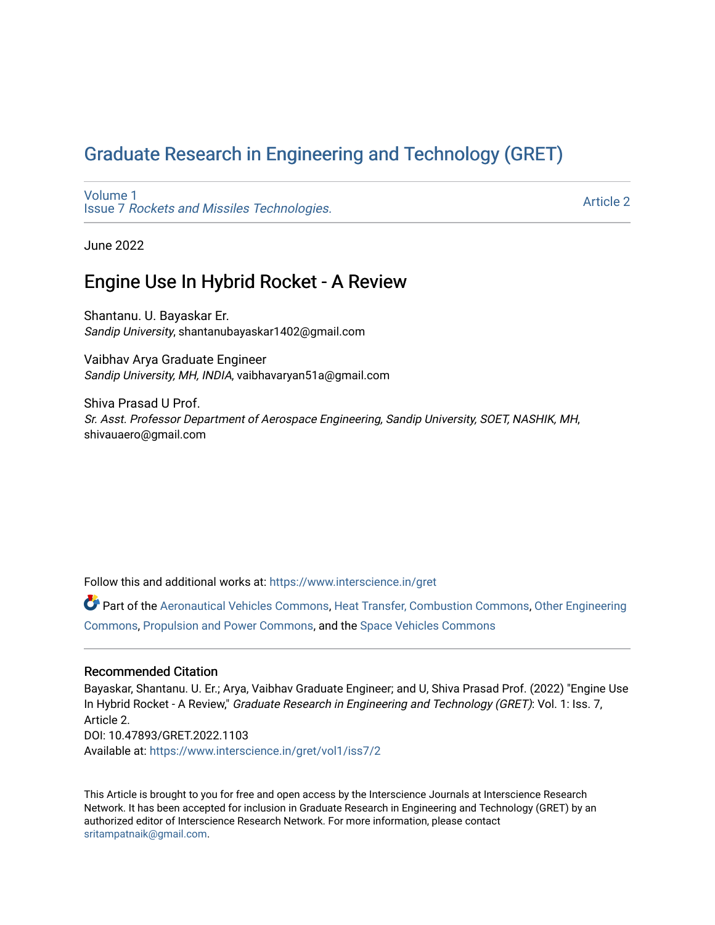# [Graduate Research in Engineering and Technology \(GRET\)](https://www.interscience.in/gret)

[Volume 1](https://www.interscience.in/gret/vol1) Issue 7 [Rockets and Missiles Technologies.](https://www.interscience.in/gret/vol1/iss7)

[Article 2](https://www.interscience.in/gret/vol1/iss7/2) 

June 2022

# Engine Use In Hybrid Rocket - A Review

Shantanu. U. Bayaskar Er. Sandip University, shantanubayaskar1402@gmail.com

Vaibhav Arya Graduate Engineer Sandip University, MH, INDIA, vaibhavaryan51a@gmail.com

Shiva Prasad U Prof. Sr. Asst. Professor Department of Aerospace Engineering, Sandip University, SOET, NASHIK, MH, shivauaero@gmail.com

Follow this and additional works at: [https://www.interscience.in/gret](https://www.interscience.in/gret?utm_source=www.interscience.in%2Fgret%2Fvol1%2Fiss7%2F2&utm_medium=PDF&utm_campaign=PDFCoverPages)

Part of the [Aeronautical Vehicles Commons,](https://network.bepress.com/hgg/discipline/219?utm_source=www.interscience.in%2Fgret%2Fvol1%2Fiss7%2F2&utm_medium=PDF&utm_campaign=PDFCoverPages) [Heat Transfer, Combustion Commons](https://network.bepress.com/hgg/discipline/300?utm_source=www.interscience.in%2Fgret%2Fvol1%2Fiss7%2F2&utm_medium=PDF&utm_campaign=PDFCoverPages), [Other Engineering](https://network.bepress.com/hgg/discipline/315?utm_source=www.interscience.in%2Fgret%2Fvol1%2Fiss7%2F2&utm_medium=PDF&utm_campaign=PDFCoverPages)  [Commons](https://network.bepress.com/hgg/discipline/315?utm_source=www.interscience.in%2Fgret%2Fvol1%2Fiss7%2F2&utm_medium=PDF&utm_campaign=PDFCoverPages), [Propulsion and Power Commons](https://network.bepress.com/hgg/discipline/225?utm_source=www.interscience.in%2Fgret%2Fvol1%2Fiss7%2F2&utm_medium=PDF&utm_campaign=PDFCoverPages), and the [Space Vehicles Commons](https://network.bepress.com/hgg/discipline/220?utm_source=www.interscience.in%2Fgret%2Fvol1%2Fiss7%2F2&utm_medium=PDF&utm_campaign=PDFCoverPages) 

### Recommended Citation

Bayaskar, Shantanu. U. Er.; Arya, Vaibhav Graduate Engineer; and U, Shiva Prasad Prof. (2022) "Engine Use In Hybrid Rocket - A Review," Graduate Research in Engineering and Technology (GRET): Vol. 1: Iss. 7, Article 2. DOI: 10.47893/GRET.2022.1103 Available at: [https://www.interscience.in/gret/vol1/iss7/2](https://www.interscience.in/gret/vol1/iss7/2?utm_source=www.interscience.in%2Fgret%2Fvol1%2Fiss7%2F2&utm_medium=PDF&utm_campaign=PDFCoverPages)

This Article is brought to you for free and open access by the Interscience Journals at Interscience Research Network. It has been accepted for inclusion in Graduate Research in Engineering and Technology (GRET) by an authorized editor of Interscience Research Network. For more information, please contact [sritampatnaik@gmail.com](mailto:sritampatnaik@gmail.com).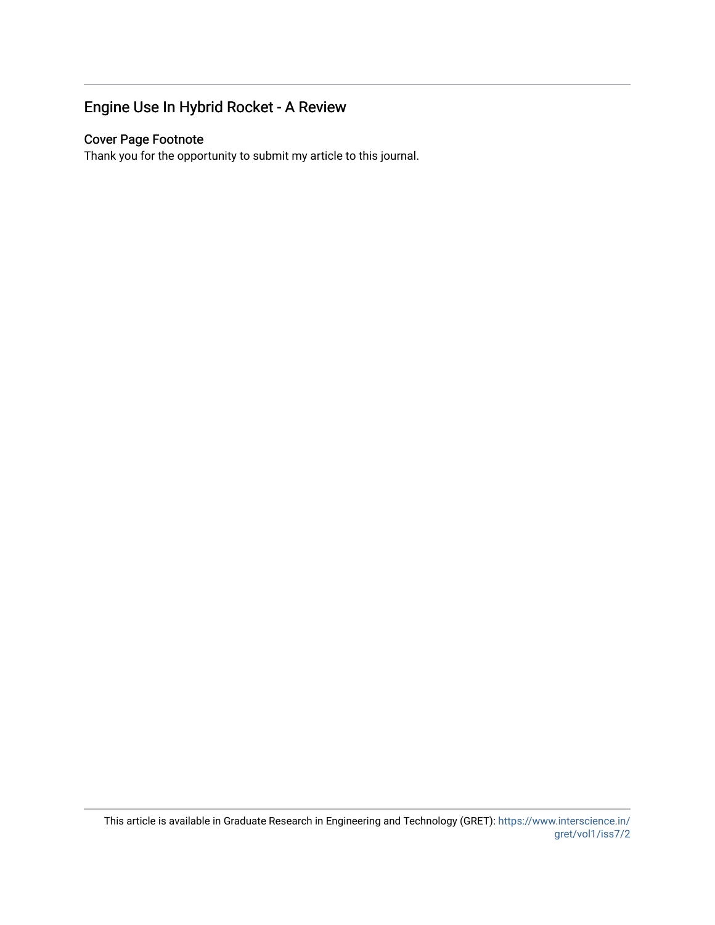# Engine Use In Hybrid Rocket - A Review

## Cover Page Footnote

Thank you for the opportunity to submit my article to this journal.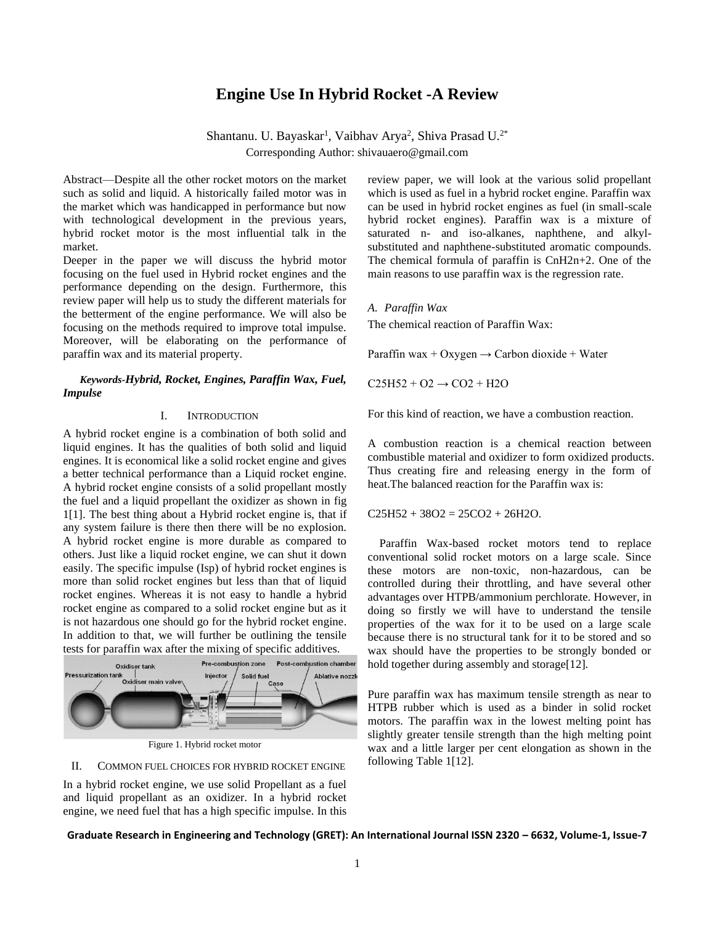## **Engine Use In Hybrid Rocket -A Review**

Shantanu. U. Bayaskar<sup>1</sup>, Vaibhav Arya<sup>2</sup>, Shiva Prasad U.<sup>2\*</sup> Corresponding Author: shivauaero@gmail.com

Abstract—Despite all the other rocket motors on the market such as solid and liquid. A historically failed motor was in the market which was handicapped in performance but now with technological development in the previous years, hybrid rocket motor is the most influential talk in the market.

Deeper in the paper we will discuss the hybrid motor focusing on the fuel used in Hybrid rocket engines and the performance depending on the design. Furthermore, this review paper will help us to study the different materials for the betterment of the engine performance. We will also be focusing on the methods required to improve total impulse. Moreover, will be elaborating on the performance of paraffin wax and its material property.

### *Keywords-Hybrid, Rocket, Engines, Paraffin Wax, Fuel, Impulse*

#### I. INTRODUCTION

A hybrid rocket engine is a combination of both solid and liquid engines. It has the qualities of both solid and liquid engines. It is economical like a solid rocket engine and gives a better technical performance than a Liquid rocket engine. A hybrid rocket engine consists of a solid propellant mostly the fuel and a liquid propellant the oxidizer as shown in fig 1[1]. The best thing about a Hybrid rocket engine is, that if any system failure is there then there will be no explosion. A hybrid rocket engine is more durable as compared to others. Just like a liquid rocket engine, we can shut it down easily. The specific impulse (Isp) of hybrid rocket engines is more than solid rocket engines but less than that of liquid rocket engines. Whereas it is not easy to handle a hybrid rocket engine as compared to a solid rocket engine but as it is not hazardous one should go for the hybrid rocket engine. In addition to that, we will further be outlining the tensile tests for paraffin wax after the mixing of specific additives.



Figure 1. Hybrid rocket motor

#### II. COMMON FUEL CHOICES FOR HYBRID ROCKET ENGINE

In a hybrid rocket engine, we use solid Propellant as a fuel and liquid propellant as an oxidizer. In a hybrid rocket engine, we need fuel that has a high specific impulse. In this review paper, we will look at the various solid propellant which is used as fuel in a hybrid rocket engine. Paraffin wax can be used in hybrid rocket engines as fuel (in small-scale hybrid rocket engines). Paraffin wax is a mixture of saturated n- and iso-alkanes, naphthene, and alkylsubstituted and naphthene-substituted aromatic compounds. The chemical formula of paraffin is CnH2n+2. One of the main reasons to use paraffin wax is the regression rate.

#### *A. Paraffin Wax*

The chemical reaction of Paraffin Wax:

Paraffin wax + Oxygen  $\rightarrow$  Carbon dioxide + Water

 $C25H52 + O2 \rightarrow CO2 + H2O$ 

For this kind of reaction, we have a combustion reaction.

A combustion reaction is a chemical reaction between combustible material and oxidizer to form oxidized products. Thus creating fire and releasing energy in the form of heat.The balanced reaction for the Paraffin wax is:

 $C25H52 + 38O2 = 25CO2 + 26H2O.$ 

Paraffin Wax-based rocket motors tend to replace conventional solid rocket motors on a large scale. Since these motors are non-toxic, non-hazardous, can be controlled during their throttling, and have several other advantages over HTPB/ammonium perchlorate. However, in doing so firstly we will have to understand the tensile properties of the wax for it to be used on a large scale because there is no structural tank for it to be stored and so wax should have the properties to be strongly bonded or hold together during assembly and storage[12].

Pure paraffin wax has maximum tensile strength as near to HTPB rubber which is used as a binder in solid rocket motors. The paraffin wax in the lowest melting point has slightly greater tensile strength than the high melting point wax and a little larger per cent elongation as shown in the following Table 1[12].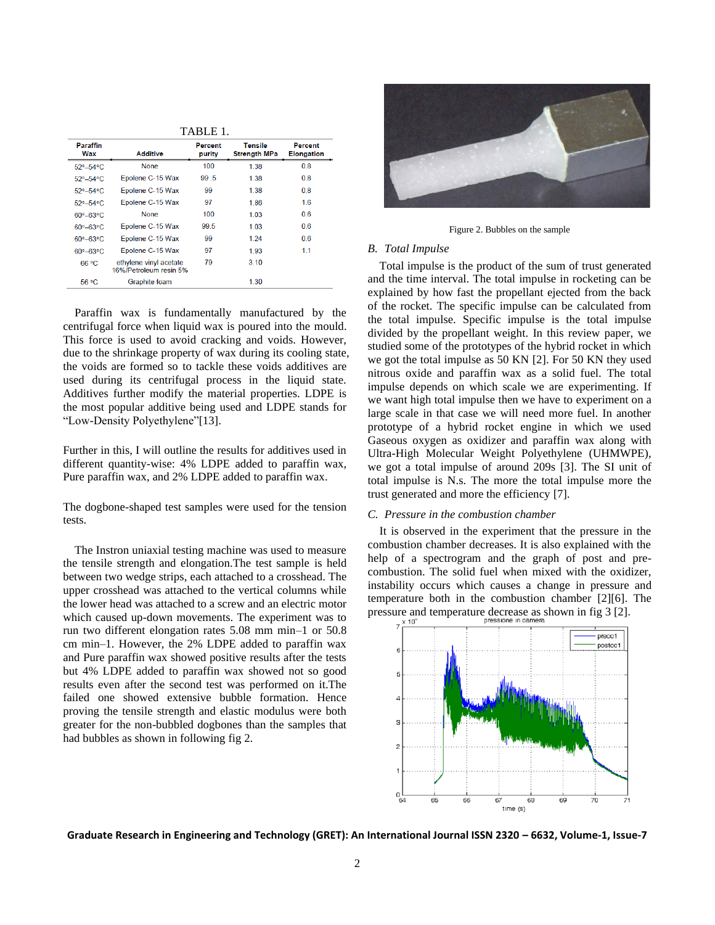| 1 ADLE 1.                   |                                                  |                   |                                       |                              |
|-----------------------------|--------------------------------------------------|-------------------|---------------------------------------|------------------------------|
| <b>Paraffin</b><br>Wax      | <b>Additive</b>                                  | Percent<br>purity | <b>Tensile</b><br><b>Strength MPa</b> | Percent<br><b>Elongation</b> |
| $52^{\circ} - 54^{\circ}$ C | <b>None</b>                                      | 100               | 1.38                                  | 0.8                          |
| 52°-54°C                    | Epolene C-15 Wax                                 | 99 <sub>5</sub>   | 1.38                                  | 0.8                          |
| 52°-54°C                    | Epolene C-15 Wax                                 | 99                | 1.38                                  | 0.8                          |
| $52^{\circ} - 54^{\circ}C$  | Epolene C-15 Wax                                 | 97                | 1.86                                  | 1.6                          |
| $60^\circ - 63^\circ C$     | <b>None</b>                                      | 100               | 1.03                                  | 0.6                          |
| $60^\circ - 63^\circ C$     | Epolene C-15 Wax                                 | 99.5              | 1.03                                  | 0.6                          |
| $60^{\circ} - 63^{\circ}$ C | Epolene C-15 Wax                                 | 99                | 1 24                                  | 06                           |
| $60^\circ - 63^\circ C$     | Epolene C-15 Wax                                 | 97                | 1.93                                  | 1.1                          |
| 66 °C                       | ethylene vinyl acetate<br>16%/Petroleum resin 5% | 79                | 3.10                                  |                              |
| 56 °C                       | Graphite foam                                    |                   | 1.30                                  |                              |

TABLE 1.

Paraffin wax is fundamentally manufactured by the centrifugal force when liquid wax is poured into the mould. This force is used to avoid cracking and voids. However, due to the shrinkage property of wax during its cooling state, the voids are formed so to tackle these voids additives are used during its centrifugal process in the liquid state. Additives further modify the material properties. LDPE is the most popular additive being used and LDPE stands for "Low-Density Polyethylene"[13].

Further in this, I will outline the results for additives used in different quantity-wise: 4% LDPE added to paraffin wax, Pure paraffin wax, and 2% LDPE added to paraffin wax.

The dogbone-shaped test samples were used for the tension tests.

The Instron uniaxial testing machine was used to measure the tensile strength and elongation.The test sample is held between two wedge strips, each attached to a crosshead. The upper crosshead was attached to the vertical columns while the lower head was attached to a screw and an electric motor which caused up-down movements. The experiment was to run two different elongation rates 5.08 mm min–1 or 50.8 cm min–1. However, the 2% LDPE added to paraffin wax and Pure paraffin wax showed positive results after the tests but 4% LDPE added to paraffin wax showed not so good results even after the second test was performed on it.The failed one showed extensive bubble formation. Hence proving the tensile strength and elastic modulus were both greater for the non-bubbled dogbones than the samples that had bubbles as shown in following fig 2.



Figure 2. Bubbles on the sample

### *B. Total Impulse*

Total impulse is the product of the sum of trust generated and the time interval. The total impulse in rocketing can be explained by how fast the propellant ejected from the back of the rocket. The specific impulse can be calculated from the total impulse. Specific impulse is the total impulse divided by the propellant weight. In this review paper, we studied some of the prototypes of the hybrid rocket in which we got the total impulse as 50 KN [2]. For 50 KN they used nitrous oxide and paraffin wax as a solid fuel. The total impulse depends on which scale we are experimenting. If we want high total impulse then we have to experiment on a large scale in that case we will need more fuel. In another prototype of a hybrid rocket engine in which we used Gaseous oxygen as oxidizer and paraffin wax along with Ultra-High Molecular Weight Polyethylene (UHMWPE), we got a total impulse of around 209s [3]. The SI unit of total impulse is N.s. The more the total impulse more the trust generated and more the efficiency [7].

#### *C. Pressure in the combustion chamber*

It is observed in the experiment that the pressure in the combustion chamber decreases. It is also explained with the help of a spectrogram and the graph of post and precombustion. The solid fuel when mixed with the oxidizer, instability occurs which causes a change in pressure and temperature both in the combustion chamber [2][6]. The pressure and temperature decrease as shown in fig 3 [2].

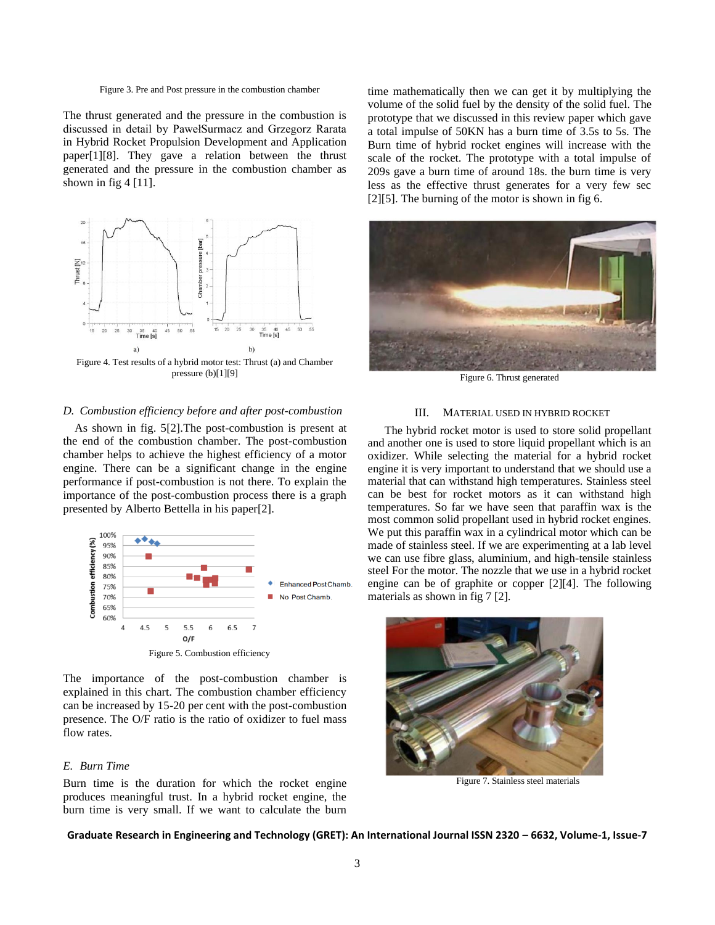The thrust generated and the pressure in the combustion is discussed in detail by PawełSurmacz and Grzegorz Rarata in Hybrid Rocket Propulsion Development and Application paper[1][8]. They gave a relation between the thrust generated and the pressure in the combustion chamber as shown in fig  $4 \lfloor 11 \rfloor$ .



Figure 4. Test results of a hybrid motor test: Thrust (a) and Chamber pressure (b)[1][9]

#### *D. Combustion efficiency before and after post-combustion*

As shown in fig. 5[2].The post-combustion is present at the end of the combustion chamber. The post-combustion chamber helps to achieve the highest efficiency of a motor engine. There can be a significant change in the engine performance if post-combustion is not there. To explain the importance of the post-combustion process there is a graph presented by Alberto Bettella in his paper[2].



The importance of the post-combustion chamber is explained in this chart. The combustion chamber efficiency can be increased by 15-20 per cent with the post-combustion presence. The O/F ratio is the ratio of oxidizer to fuel mass flow rates.

#### *E. Burn Time*

Burn time is the duration for which the rocket engine produces meaningful trust. In a hybrid rocket engine, the burn time is very small. If we want to calculate the burn time mathematically then we can get it by multiplying the volume of the solid fuel by the density of the solid fuel. The prototype that we discussed in this review paper which gave a total impulse of 50KN has a burn time of 3.5s to 5s. The Burn time of hybrid rocket engines will increase with the scale of the rocket. The prototype with a total impulse of 209s gave a burn time of around 18s. the burn time is very less as the effective thrust generates for a very few sec [2][5]. The burning of the motor is shown in fig 6.



Figure 6. Thrust generated

#### III. MATERIAL USED IN HYBRID ROCKET

The hybrid rocket motor is used to store solid propellant and another one is used to store liquid propellant which is an oxidizer. While selecting the material for a hybrid rocket engine it is very important to understand that we should use a material that can withstand high temperatures. Stainless steel can be best for rocket motors as it can withstand high temperatures. So far we have seen that paraffin wax is the most common solid propellant used in hybrid rocket engines. We put this paraffin wax in a cylindrical motor which can be made of stainless steel. If we are experimenting at a lab level we can use fibre glass, aluminium, and high-tensile stainless steel For the motor. The nozzle that we use in a hybrid rocket engine can be of graphite or copper [2][4]. The following materials as shown in fig 7 [2].



Figure 7. Stainless steel materials

Figure 3. Pre and Post pressure in the combustion chamber